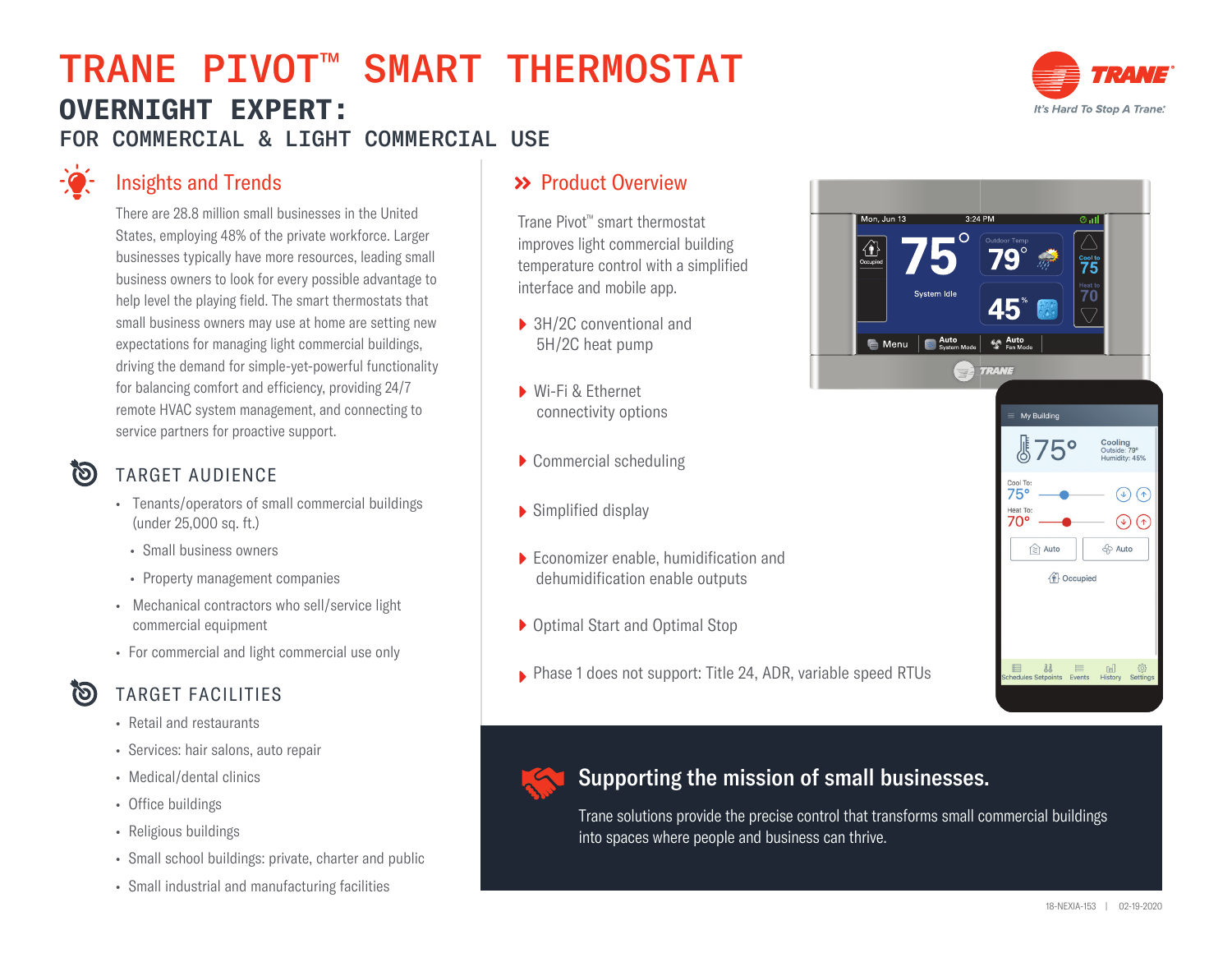# TRANE PIVOT™ SMART THERMOSTAT **OVERNIGHT EXPERT:**  FOR COMMERCIAL & LIGHT COMMERCIAL USE



## Insights and Trends

There are 28.8 million small businesses in the United States, employing 48% of the private workforce. Larger businesses typically have more resources, leading small business owners to look for every possible advantage to help level the playing field. The smart thermostats that small business owners may use at home are setting new expectations for managing light commercial buildings, driving the demand for simple-yet-powerful functionality for balancing comfort and efficiency, providing 24/7 remote HVAC system management, and connecting to service partners for proactive support.

## 问

#### TARGET AUDIENCE

- Tenants/operators of small commercial buildings (under 25,000 sq. ft.)
- Small business owners
- Property management companies
- Mechanical contractors who sell/service light commercial equipment
- For commercial and light commercial use only

### <u>ලා</u>

• Retail and restaurants

TARGET FACILITIES

- Services: hair salons, auto repair
- Medical/dental clinics
- Office buildings
- Religious buildings
- Small school buildings: private, charter and public
- Small industrial and manufacturing facilities

### >> Product Overview

Trane Pivot™ smart thermostat improves light commercial building temperature control with a simplified interface and mobile app.

- ▶ 3H/2C conventional and 5H/2C heat pump
- Wi-Fi & Ethernet connectivity options
- Commercial scheduling
- Simplified display
- Economizer enable, humidification and dehumidification enable outputs
- Optimal Start and Optimal Stop
- Phase 1 does not support: Title 24, ADR, variable speed RTUs



 $\circledcirc$ <del>ි</del>වි Auto

pia Auto

**企** Occupied

 $\begin{array}{rcl} \hspace{2.25cm} \text{ } & \text{ } \text{ } & \text{ } \text{ } & \text{ } \text{ } \\ \text{ } & \text{ } & \text{ } & \text{ } \text{ } & \text{ } \text{ } \\ \end{array}$ 

 $D =$ 



#### Supporting the mission of small businesses.

Trane solutions provide the precise control that transforms small commercial buildings into spaces where people and business can thrive.